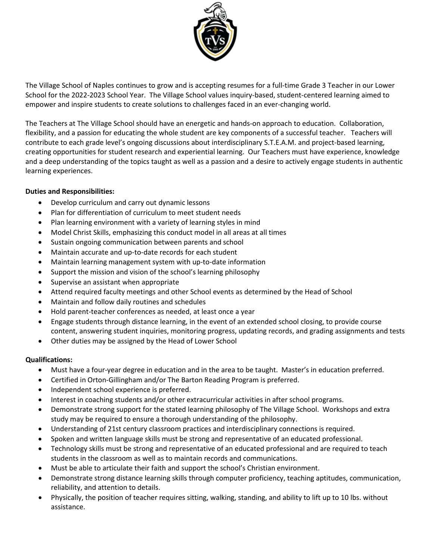

The Village School of Naples continues to grow and is accepting resumes for a full-time Grade 3 Teacher in our Lower School for the 2022-2023 School Year. The Village School values inquiry-based, student-centered learning aimed to empower and inspire students to create solutions to challenges faced in an ever-changing world.

The Teachers at The Village School should have an energetic and hands-on approach to education. Collaboration, flexibility, and a passion for educating the whole student are key components of a successful teacher. Teachers will contribute to each grade level's ongoing discussions about interdisciplinary S.T.E.A.M. and project-based learning, creating opportunities for student research and experiential learning. Our Teachers must have experience, knowledge and a deep understanding of the topics taught as well as a passion and a desire to actively engage students in authentic learning experiences.

# **Duties and Responsibilities:**

- Develop curriculum and carry out dynamic lessons
- Plan for differentiation of curriculum to meet student needs
- Plan learning environment with a variety of learning styles in mind
- Model Christ Skills, emphasizing this conduct model in all areas at all times
- Sustain ongoing communication between parents and school
- Maintain accurate and up-to-date records for each student
- Maintain learning management system with up-to-date information
- Support the mission and vision of the school's learning philosophy
- Supervise an assistant when appropriate
- Attend required faculty meetings and other School events as determined by the Head of School
- Maintain and follow daily routines and schedules
- Hold parent-teacher conferences as needed, at least once a year
- Engage students through distance learning, in the event of an extended school closing, to provide course content, answering student inquiries, monitoring progress, updating records, and grading assignments and tests
- Other duties may be assigned by the Head of Lower School

## **Qualifications:**

- Must have a four-year degree in education and in the area to be taught. Master's in education preferred.
- Certified in Orton-Gillingham and/or The Barton Reading Program is preferred.
- Independent school experience is preferred.
- Interest in coaching students and/or other extracurricular activities in after school programs.
- Demonstrate strong support for the stated learning philosophy of The Village School. Workshops and extra study may be required to ensure a thorough understanding of the philosophy.
- Understanding of 21st century classroom practices and interdisciplinary connections is required.
- Spoken and written language skills must be strong and representative of an educated professional.
- Technology skills must be strong and representative of an educated professional and are required to teach students in the classroom as well as to maintain records and communications.
- Must be able to articulate their faith and support the school's Christian environment.
- Demonstrate strong distance learning skills through computer proficiency, teaching aptitudes, communication, reliability, and attention to details.
- Physically, the position of teacher requires sitting, walking, standing, and ability to lift up to 10 lbs. without assistance.